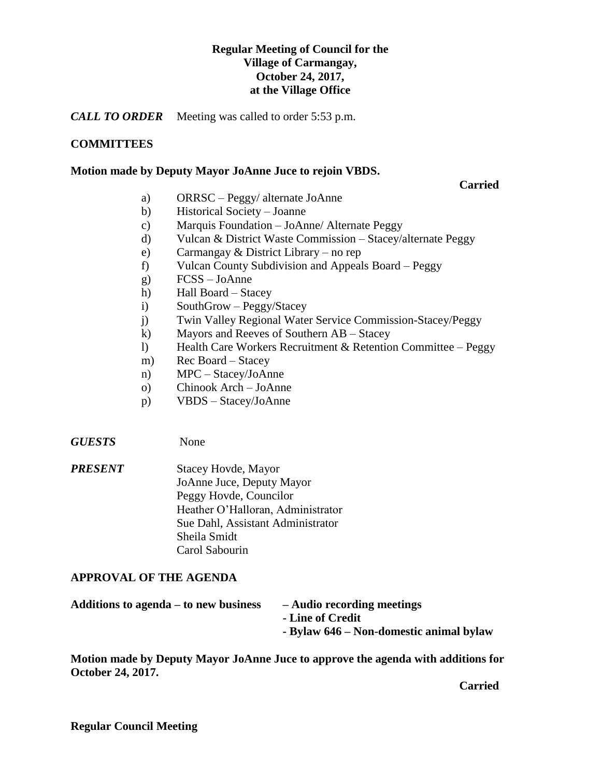# **Regular Meeting of Council for the Village of Carmangay, October 24, 2017, at the Village Office**

*CALL TO ORDER* Meeting was called to order 5:53 p.m.

# **COMMITTEES**

### **Motion made by Deputy Mayor JoAnne Juce to rejoin VBDS.**

**Carried**

- a) ORRSC Peggy/ alternate JoAnne
- b) Historical Society Joanne
- c) Marquis Foundation JoAnne/ Alternate Peggy
- d) Vulcan & District Waste Commission Stacey/alternate Peggy
- e) Carmangay & District Library no rep
- f) Vulcan County Subdivision and Appeals Board Peggy
- g) FCSS JoAnne
- h) Hall Board Stacey
- i) SouthGrow Peggy/Stacey
- j) Twin Valley Regional Water Service Commission-Stacey/Peggy
- k) Mayors and Reeves of Southern AB Stacey
- l) Health Care Workers Recruitment & Retention Committee Peggy
- m) Rec Board Stacey
- n) MPC Stacey/JoAnne
- o) Chinook Arch JoAnne
- p) VBDS Stacey/JoAnne

*GUESTS* None

*PRESENT* Stacey Hovde, Mayor JoAnne Juce, Deputy Mayor Peggy Hovde, Councilor Heather O'Halloran, Administrator Sue Dahl, Assistant Administrator Sheila Smidt Carol Sabourin

### **APPROVAL OF THE AGENDA**

| Additions to agenda – to new business | - Audio recording meetings              |
|---------------------------------------|-----------------------------------------|
|                                       | - Line of Credit                        |
|                                       | - Bylaw 646 – Non-domestic animal bylaw |

**Motion made by Deputy Mayor JoAnne Juce to approve the agenda with additions for October 24, 2017.**

**Carried**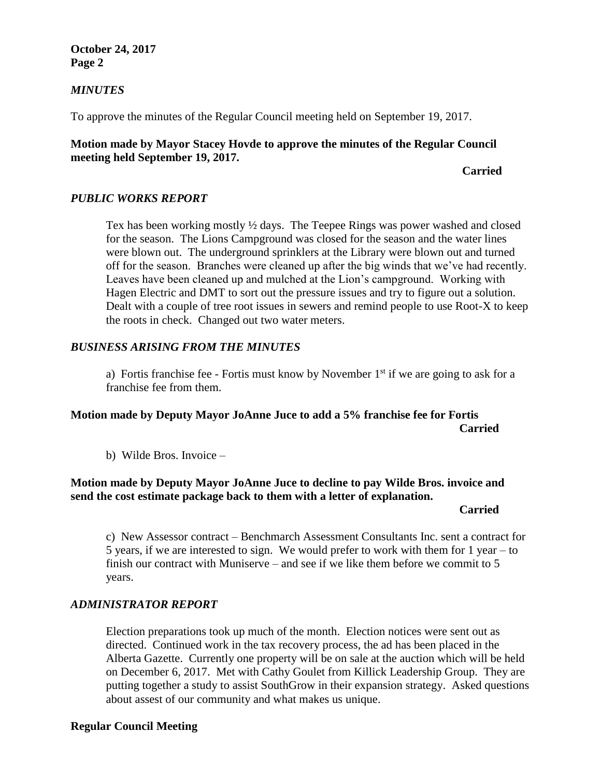### **October 24, 2017 Page 2**

### *MINUTES*

To approve the minutes of the Regular Council meeting held on September 19, 2017.

### **Motion made by Mayor Stacey Hovde to approve the minutes of the Regular Council meeting held September 19, 2017.**

### *Carried*

### *PUBLIC WORKS REPORT*

Tex has been working mostly ½ days. The Teepee Rings was power washed and closed for the season. The Lions Campground was closed for the season and the water lines were blown out. The underground sprinklers at the Library were blown out and turned off for the season. Branches were cleaned up after the big winds that we've had recently. Leaves have been cleaned up and mulched at the Lion's campground. Working with Hagen Electric and DMT to sort out the pressure issues and try to figure out a solution. Dealt with a couple of tree root issues in sewers and remind people to use Root-X to keep the roots in check. Changed out two water meters.

### *BUSINESS ARISING FROM THE MINUTES*

a) Fortis franchise fee - Fortis must know by November  $1<sup>st</sup>$  if we are going to ask for a franchise fee from them.

## **Motion made by Deputy Mayor JoAnne Juce to add a 5% franchise fee for Fortis Carried**

b) Wilde Bros. Invoice –

### **Motion made by Deputy Mayor JoAnne Juce to decline to pay Wilde Bros. invoice and send the cost estimate package back to them with a letter of explanation.**

#### **Carried**

c) New Assessor contract – Benchmarch Assessment Consultants Inc. sent a contract for 5 years, if we are interested to sign. We would prefer to work with them for 1 year – to finish our contract with Muniserve – and see if we like them before we commit to 5 years.

### *ADMINISTRATOR REPORT*

Election preparations took up much of the month. Election notices were sent out as directed. Continued work in the tax recovery process, the ad has been placed in the Alberta Gazette. Currently one property will be on sale at the auction which will be held on December 6, 2017. Met with Cathy Goulet from Killick Leadership Group. They are putting together a study to assist SouthGrow in their expansion strategy. Asked questions about assest of our community and what makes us unique.

### **Regular Council Meeting**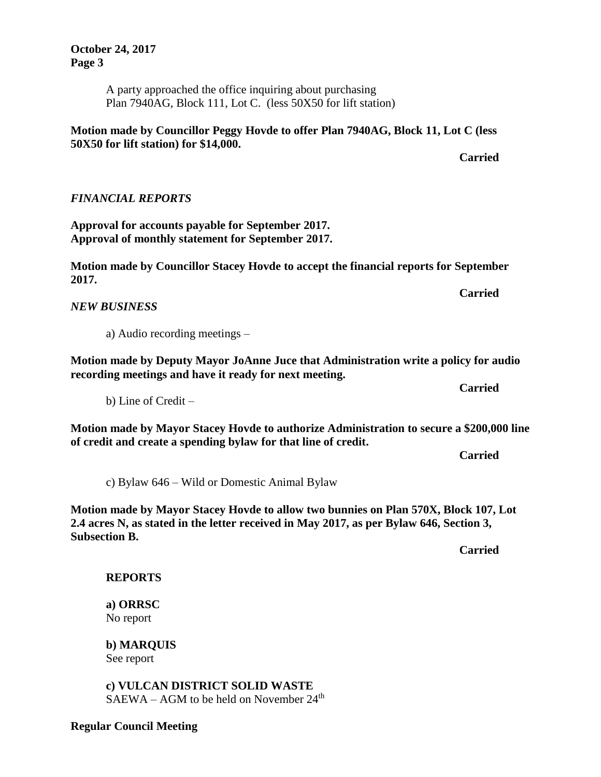**Regular Council Meeting**

**October 24, 2017 Page 3**

> A party approached the office inquiring about purchasing Plan 7940AG, Block 111, Lot C. (less 50X50 for lift station)

**Motion made by Councillor Peggy Hovde to offer Plan 7940AG, Block 11, Lot C (less 50X50 for lift station) for \$14,000.**

### *FINANCIAL REPORTS*

**Approval for accounts payable for September 2017. Approval of monthly statement for September 2017.**

**Motion made by Councillor Stacey Hovde to accept the financial reports for September 2017.**

*NEW BUSINESS*

a) Audio recording meetings –

**Motion made by Deputy Mayor JoAnne Juce that Administration write a policy for audio recording meetings and have it ready for next meeting.**

b) Line of Credit –

**Motion made by Mayor Stacey Hovde to authorize Administration to secure a \$200,000 line of credit and create a spending bylaw for that line of credit.**

c) Bylaw 646 – Wild or Domestic Animal Bylaw

**Motion made by Mayor Stacey Hovde to allow two bunnies on Plan 570X, Block 107, Lot 2.4 acres N, as stated in the letter received in May 2017, as per Bylaw 646, Section 3, Subsection B.**

**Carried**

**REPORTS**

**a) ORRSC** No report

**b) MARQUIS**  See report

**c) VULCAN DISTRICT SOLID WASTE**   $SAEWA - AGM$  to be held on November  $24<sup>th</sup>$  **Carried**

**Carried**

**Carried**

**Carried**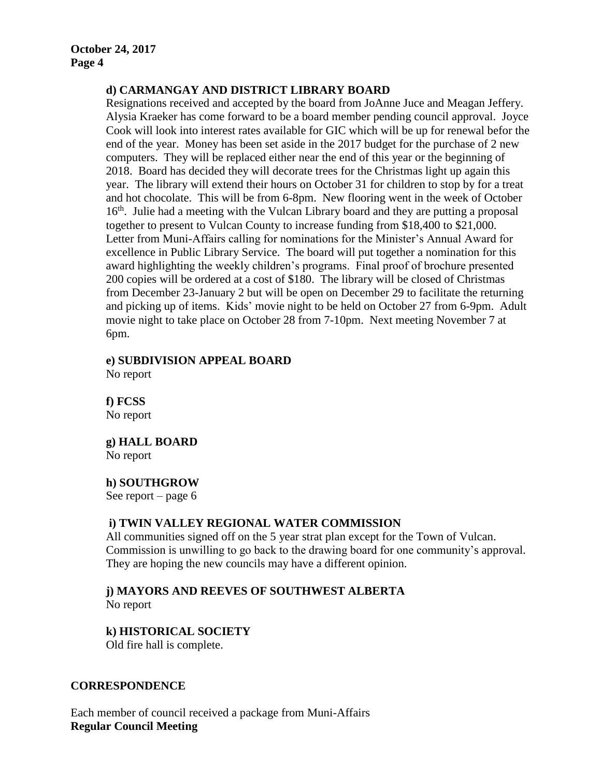### **d) CARMANGAY AND DISTRICT LIBRARY BOARD**

Resignations received and accepted by the board from JoAnne Juce and Meagan Jeffery. Alysia Kraeker has come forward to be a board member pending council approval. Joyce Cook will look into interest rates available for GIC which will be up for renewal befor the end of the year. Money has been set aside in the 2017 budget for the purchase of 2 new computers. They will be replaced either near the end of this year or the beginning of 2018. Board has decided they will decorate trees for the Christmas light up again this year. The library will extend their hours on October 31 for children to stop by for a treat and hot chocolate. This will be from 6-8pm. New flooring went in the week of October 16<sup>th</sup>. Julie had a meeting with the Vulcan Library board and they are putting a proposal together to present to Vulcan County to increase funding from \$18,400 to \$21,000. Letter from Muni-Affairs calling for nominations for the Minister's Annual Award for excellence in Public Library Service. The board will put together a nomination for this award highlighting the weekly children's programs. Final proof of brochure presented 200 copies will be ordered at a cost of \$180. The library will be closed of Christmas from December 23-January 2 but will be open on December 29 to facilitate the returning and picking up of items. Kids' movie night to be held on October 27 from 6-9pm. Adult movie night to take place on October 28 from 7-10pm. Next meeting November 7 at 6pm.

**e) SUBDIVISION APPEAL BOARD** No report

**f) FCSS**  No report

**g) HALL BOARD**

No report

**h) SOUTHGROW**

See report – page 6

### **i) TWIN VALLEY REGIONAL WATER COMMISSION**

All communities signed off on the 5 year strat plan except for the Town of Vulcan. Commission is unwilling to go back to the drawing board for one community's approval. They are hoping the new councils may have a different opinion.

**j) MAYORS AND REEVES OF SOUTHWEST ALBERTA**

No report

# **k) HISTORICAL SOCIETY**

Old fire hall is complete.

### **CORRESPONDENCE**

Each member of council received a package from Muni-Affairs **Regular Council Meeting**